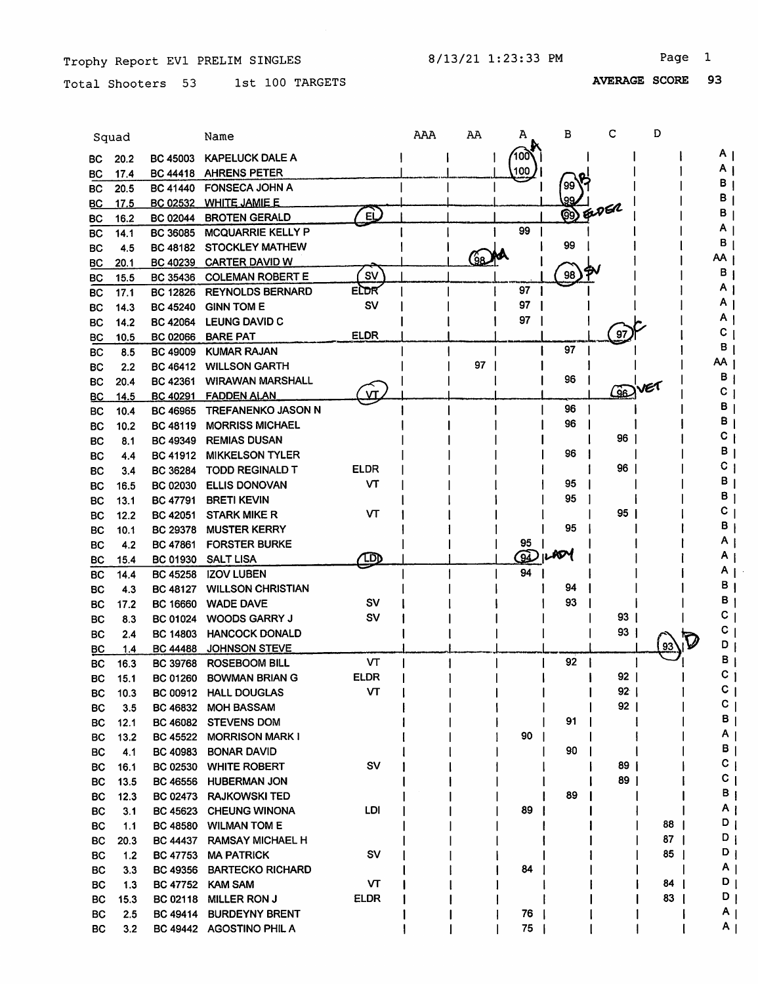$\bar{\omega}$ 

Total Shooters 53 1st 100 TARGETS

|           | Squad        |                 | Name                      |                         | AAA | AA  | А            | в  | с               | D  |    |                |
|-----------|--------------|-----------------|---------------------------|-------------------------|-----|-----|--------------|----|-----------------|----|----|----------------|
|           |              | <b>BC 45003</b> | <b>KAPELUCK DALE A</b>    |                         |     |     | 100          |    |                 |    | Α  |                |
| BС        | 20.2         | <b>BC 44418</b> | <b>AHRENS PETER</b>       |                         |     |     | 100          |    |                 |    | Α  |                |
| вc<br>ВC  | 17.4<br>20.5 | <b>BC 41440</b> | <b>FONSECA JOHN A</b>     |                         |     |     |              | 99 |                 |    | в  |                |
|           | 17.5         | <b>BC 02532</b> | <b>WHITE JAMIE E</b>      |                         |     |     |              | 99 |                 |    | в  |                |
| BС<br>ВC  | 16.2         | <b>BC 02044</b> | <b>BROTEN GERALD</b>      | ழ்                      |     |     |              |    | <b>B</b> ENGR   |    | В  |                |
| BС        | 14.1         | <b>BC 36085</b> | <b>MCQUARRIE KELLY P</b>  |                         |     |     | 99           |    |                 |    |    |                |
| BС        | 4.5          | BC 48182        | <b>STOCKLEY MATHEW</b>    |                         |     |     |              | 99 |                 |    | в  |                |
| BC        | 20.1         | BC 40239        | <b>CARTER DAVID W</b>     |                         |     | (9a |              |    |                 |    | ΑА |                |
| ВC        | 15.5         | BC 35436        | <b>COLEMAN ROBERT E</b>   | SV                      |     |     |              | 98 |                 |    | в  |                |
| BC        | 17.1         | <b>BC 12826</b> | <b>REYNOLDS BERNARD</b>   | ELDR                    |     |     | 97           |    |                 |    |    |                |
| <b>BC</b> | 14.3         | <b>BC 45240</b> | <b>GINN TOM E</b>         | SV                      |     |     | 97           |    |                 |    |    |                |
| BC        | 14.2         | <b>BC 42064</b> | <b>LEUNG DAVID C</b>      |                         |     |     | 97           |    |                 |    |    |                |
| BС        | 10.5         | <b>BC 02066</b> | <b>BARE PAT</b>           | <b>ELDR</b>             |     |     |              |    | 97              |    | С  |                |
| <b>BC</b> | 8.5          | <b>BC 49009</b> | <b>KUMAR RAJAN</b>        |                         |     |     |              | 97 |                 |    | в  |                |
| <b>BC</b> | 2.2          | BC 46412        | <b>WILLSON GARTH</b>      |                         |     | 97  |              |    |                 |    | АΑ |                |
| <b>BC</b> | 20.4         | BC 42361        | <b>WIRAWAN MARSHALL</b>   |                         |     |     |              | 96 |                 |    | в  |                |
| <b>BC</b> | 14.5         | <b>BC 40291</b> | <b>FADDEN ALAN</b>        | $\overline{\mathbf{M}}$ |     |     |              |    | ශිව             |    | С  |                |
| BC        | 10.4         | <b>BC 46965</b> | <b>TREFANENKO JASON N</b> |                         |     |     |              | 96 |                 |    | в  |                |
| BC        | 10.2         | BC 48119        | <b>MORRISS MICHAEL</b>    |                         |     |     |              | 96 |                 |    |    |                |
| BC        | 8.1          | <b>BC 49349</b> | <b>REMIAS DUSAN</b>       |                         |     |     |              |    | 96              |    |    |                |
| <b>BC</b> | 4.4          | <b>BC 41912</b> | <b>MIKKELSON TYLER</b>    |                         |     |     |              | 96 |                 |    | в  |                |
| <b>BC</b> | 3.4          | BC 36284        | <b>TODD REGINALD T</b>    | <b>ELDR</b>             |     |     |              |    | 96              |    | С  |                |
| <b>BC</b> | 16.5         | <b>BC 02030</b> | <b>ELLIS DONOVAN</b>      | ۷T                      |     |     |              | 95 |                 |    | В  |                |
| <b>BC</b> | 13.1         | <b>BC 47791</b> | <b>BRETI KEVIN</b>        |                         |     |     |              | 95 |                 |    | В  |                |
| <b>BC</b> | 12.2         | <b>BC 42051</b> | <b>STARK MIKE R</b>       | VТ                      |     |     |              |    | 95              |    |    |                |
| <b>BC</b> | 10.1         | <b>BC 29378</b> | <b>MUSTER KERRY</b>       |                         |     |     |              | 95 |                 |    |    |                |
| <b>BC</b> | 4.2          | <b>BC 47861</b> | <b>FORSTER BURKE</b>      |                         |     |     | 95           |    |                 |    |    |                |
| <b>BC</b> | 15.4         | <b>BC 01930</b> | <b>SALT LISA</b>          | $\mathbb{D}$            |     |     | $\mathbf{Q}$ | ЮM |                 |    |    |                |
| BC        | 14.4         | BC 45258        | <b>IZOV LUBEN</b>         |                         |     |     | 94           |    |                 |    |    |                |
| <b>BC</b> | 4.3          | <b>BC 48127</b> | <b>WILLSON CHRISTIAN</b>  |                         |     |     |              | 94 |                 |    |    |                |
| ВC        | 17.2         | <b>BC 16660</b> | <b>WADE DAVE</b>          | sv                      |     |     |              | 93 |                 |    |    | в              |
| <b>BC</b> | 8.3          | <b>BC 01024</b> | <b>WOODS GARRY J</b>      | sv                      |     |     |              |    | 93              |    |    |                |
| BC        | 2.4          | <b>BC 14803</b> | <b>HANCOCK DONALD</b>     |                         |     |     |              |    | 93              |    | С  |                |
| BC        | 1.4          | <b>BC 44488</b> | <b>JOHNSON STEVE</b>      |                         |     |     |              |    |                 | 93 |    | D              |
| <b>BC</b> | 16.3         | BC 39768        | <b>ROSEBOOM BILL</b>      | VT                      |     |     |              | 92 |                 |    |    | в              |
| BC        | 15.1         |                 | BC 01260 BOWMAN BRIAN G   | <b>ELDR</b>             |     |     |              |    | 92              |    | C  |                |
| BС        | 10.3         |                 | BC 00912 HALL DOUGLAS     | VТ                      |     |     |              |    | $92 \mid$       |    | С  |                |
| BC.       | 3.5          |                 | BC 46832 MOH BASSAM       |                         |     |     |              |    | 92 <sub>1</sub> |    |    | С              |
| BC.       | 12.1         |                 | BC 46082 STEVENS DOM      |                         |     |     |              | 91 |                 |    |    | 8.             |
| BC        | 13.2         |                 | BC 45522 MORRISON MARK I  |                         |     |     | 90           |    |                 |    |    | Α.             |
| BC        | 4.1          | <b>BC 40983</b> | <b>BONAR DAVID</b>        |                         |     |     |              | 90 |                 |    |    | В.             |
| BC        | 16.1         |                 | BC 02530 WHITE ROBERT     | <b>SV</b>               |     |     |              |    | 89              |    |    | C.             |
| BC        | 13.5         |                 | BC 46556 HUBERMAN JON     |                         |     |     |              |    | 89              |    |    | C.             |
| BC        | 12.3         |                 | BC 02473 RAJKOWSKI TED    |                         |     |     |              | 89 |                 |    |    | $B_1$          |
| BC        | 3.1          |                 | BC 45623 CHEUNG WINONA    | LDI                     |     |     | 89           |    |                 |    |    | Αı             |
| BC        | 1.1          |                 | BC 48580 WILMAN TOM E     |                         |     |     |              |    |                 | 88 |    | $D_1$          |
| <b>BC</b> | 20.3         |                 | BC 44437 RAMSAY MICHAEL H |                         |     |     |              |    |                 | 87 |    | $D_1$          |
| BC.       | 1.2          |                 | BC 47753 MA PATRICK       | <b>SV</b>               |     |     |              |    |                 | 85 |    | $D_1$          |
| BC.       | 3.3          |                 | BC 49356 BARTECKO RICHARD |                         |     |     | 84           |    |                 |    |    | A <sub>1</sub> |
| BC.       | 1.3          |                 | BC 47752 KAM SAM          | VТ                      |     |     |              |    |                 | 84 |    | $D_1$          |
| BC        | 15.3         | <b>BC 02118</b> | <b>MILLER RON J</b>       | ELDR                    |     |     |              |    |                 | 83 |    | ן ס            |
| BC        | 2.5          | <b>BC 49414</b> | <b>BURDEYNY BRENT</b>     |                         |     |     | 76           |    |                 |    |    | A <sub>1</sub> |
| BC        | 3.2          |                 | BC 49442 AGOSTINO PHIL A  |                         |     |     | 75           |    |                 |    |    | A <sub>1</sub> |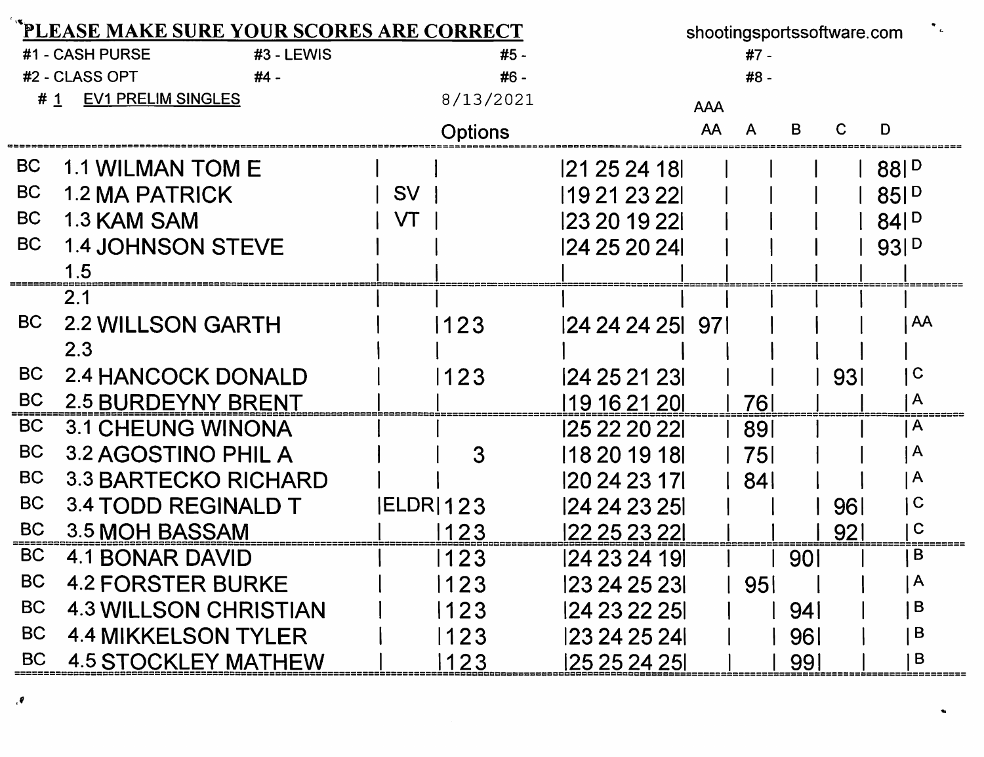|           | PLEASE MAKE SURE YOUR SCORES ARE CORRECT |                  | shootingsportssoftware.com |                 |            |                 |     |     |                         |  |
|-----------|------------------------------------------|------------------|----------------------------|-----------------|------------|-----------------|-----|-----|-------------------------|--|
|           | #1 - CASH PURSE<br>#3 - LEWIS            |                  | $#5 -$                     |                 |            | #7 -            |     |     |                         |  |
|           | #2 - CLASS OPT<br>#4 -                   |                  | #6 -                       |                 |            | #8 -            |     |     |                         |  |
| # 1       | <b>EV1 PRELIM SINGLES</b>                |                  | 8/13/2021                  |                 | <b>AAA</b> |                 |     |     |                         |  |
|           |                                          |                  | <b>Options</b>             |                 | AA         | A               | в   | C   | D                       |  |
| <b>BC</b> | <b>1.1 WILMAN TOM E</b>                  |                  |                            | 21 25 24 18     |            |                 |     |     | 881 <sup>D</sup>        |  |
| <b>BC</b> | <b>1.2 MA PATRICK</b>                    | <b>SV</b>        |                            | 19 21 23 22     |            |                 |     |     | 85P                     |  |
| <b>BC</b> | 1.3 KAM SAM                              | VT               |                            | 123 20 19 221   |            |                 |     |     | $84$ $P$                |  |
| <b>BC</b> | <b>1.4 JOHNSON STEVE</b>                 |                  |                            | 124 25 20 241   |            |                 |     |     | 93 D                    |  |
|           |                                          |                  |                            |                 |            |                 |     |     |                         |  |
|           | 2.1                                      |                  |                            |                 |            |                 |     |     |                         |  |
| <b>BC</b> | <b>2.2 WILLSON GARTH</b>                 |                  | 1123                       | 24 24 24 25 971 |            |                 |     |     | AA                      |  |
|           | 2.3                                      |                  |                            |                 |            |                 |     |     |                         |  |
| <b>BC</b> | <b>2.4 HANCOCK DONALD</b>                |                  | 123                        | 124 25 21 231   |            |                 |     | 931 | $\mathbf C$             |  |
| <b>BC</b> | <b>2.5 BURDEYNY BRENT</b>                |                  |                            | 19 16 21 20     |            | 76              |     |     | $\mathsf{A}$            |  |
| <b>BC</b> | <b>3.1 CHEUNG WINONA</b>                 |                  |                            | 125 22 20 221   |            | 891             |     |     | $\mathsf{A}$            |  |
| <b>BC</b> | 3.2 AGOSTINO PHIL A                      |                  | 3                          | 118 20 19 18    |            | 751             |     |     | $\mathsf{A}$            |  |
| <b>BC</b> | <b>3.3 BARTECKO RICHARD</b>              |                  |                            | 120 24 23 171   |            | - 841           |     |     | $\mathsf{A}$            |  |
| <b>BC</b> | <b>3.4 TODD REGINALD T</b>               | <b>IELDR 123</b> |                            | 124 24 23 251   |            |                 |     | 96I | C                       |  |
| <b>BC</b> | 3.5 MOH BASSAM                           |                  | 1123                       | 122 25 23 221   |            |                 |     | 921 | $\mathbf C$             |  |
| <b>BC</b> | <b>4.1 BONAR DAVID</b>                   |                  | 123                        | 124 23 24 191   |            |                 | 90I |     | B                       |  |
| <b>BC</b> | <b>4.2 FORSTER BURKE</b>                 |                  | 123                        | 123 24 25 231   |            | 95 <sub>1</sub> |     |     | $\overline{\mathsf{A}}$ |  |
| <b>BC</b> | <b>4.3 WILLSON CHRISTIAN</b>             |                  | 123                        | 24 23 22 25     |            |                 | 94  |     | B                       |  |
| <b>BC</b> | <b>4.4 MIKKELSON TYLER</b>               |                  | 123                        | 23 24 25 24     |            |                 | 961 |     | B                       |  |
| <b>BC</b> | <b>4.5 STOCKLEY MATHEW</b>               |                  | 123                        | 125 25 24 251   |            |                 | 991 |     | B                       |  |

 $\pmb{\theta}$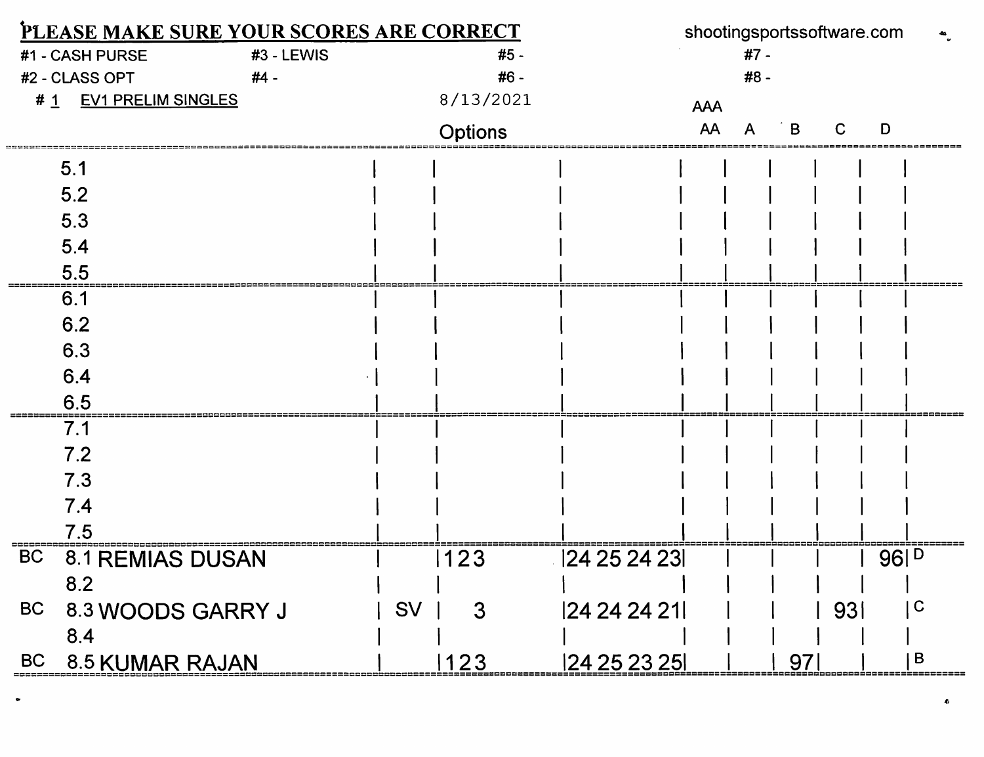| PLEASE MAKE SURE YOUR SCORES ARE CORRECT |                           |            |           |                | shootingsportssoftware.com |            |      |     |     |                  |             |
|------------------------------------------|---------------------------|------------|-----------|----------------|----------------------------|------------|------|-----|-----|------------------|-------------|
|                                          | #1 - CASH PURSE           | #3 - LEWIS |           | #5 -           |                            |            | #7 - |     |     |                  |             |
|                                          | #2 - CLASS OPT            | #4 -       |           | #6 -           |                            |            | #8 - |     |     |                  |             |
| # 1                                      | <b>EV1 PRELIM SINGLES</b> |            |           | 8/13/2021      |                            | <b>AAA</b> |      |     |     |                  |             |
|                                          |                           |            |           | <b>Options</b> |                            | AA         |      | в   |     | D                |             |
|                                          | 5.1                       |            |           |                |                            |            |      |     |     |                  |             |
|                                          | 5.2                       |            |           |                |                            |            |      |     |     |                  |             |
|                                          | 5.3                       |            |           |                |                            |            |      |     |     |                  |             |
|                                          | 5.4                       |            |           |                |                            |            |      |     |     |                  |             |
|                                          | 5.5                       |            |           |                |                            |            |      |     |     |                  |             |
|                                          | 6.1                       |            |           |                |                            |            |      |     |     |                  |             |
|                                          | 6.2                       |            |           |                |                            |            |      |     |     |                  |             |
|                                          | 6.3                       |            |           |                |                            |            |      |     |     |                  |             |
|                                          | 6.4                       |            |           |                |                            |            |      |     |     |                  |             |
|                                          | 6.5                       |            |           |                |                            |            |      |     |     |                  |             |
|                                          | 7.1                       |            |           |                |                            |            |      |     |     |                  |             |
|                                          | 7.2                       |            |           |                |                            |            |      |     |     |                  |             |
|                                          | 7.3                       |            |           |                |                            |            |      |     |     |                  |             |
|                                          | 7.4                       |            |           |                |                            |            |      |     |     |                  |             |
|                                          | 7.5                       |            |           |                |                            |            |      |     |     |                  |             |
| <b>BC</b>                                | <b>8.1 REMIAS DUSAN</b>   |            |           | 123            | 124 25 24 231              |            |      |     |     | 96  <sup>D</sup> |             |
|                                          | 8.2                       |            |           |                |                            |            |      |     |     |                  |             |
| <b>BC</b>                                | 8.3 WOODS GARRY J         |            | <b>SV</b> | $\mathbf{3}$   | 24 24 24 21                |            |      |     | 931 |                  | $\mathbf C$ |
|                                          | 8.4                       |            |           |                |                            |            |      |     |     |                  |             |
| <b>BC</b>                                | 8.5 KUMAR RAJAN           |            |           | 123            | 124 25 23 251              |            |      | 971 |     |                  | B           |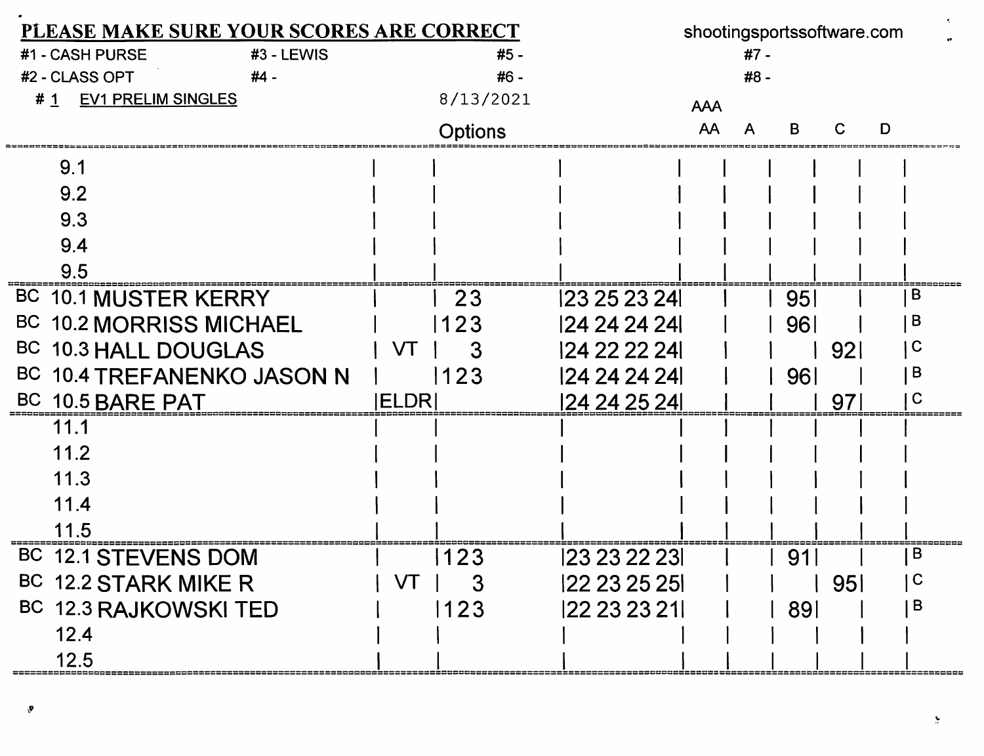| PLEASE MAKE SURE YOUR SCORES ARE CORRECT |               |           |               |            |      | shootingsportssoftware.com |                 |   |
|------------------------------------------|---------------|-----------|---------------|------------|------|----------------------------|-----------------|---|
| #1 - CASH PURSE<br>#3 - LEWIS            |               | #5 -      |               |            | #7 - |                            |                 |   |
| #2 - CLASS OPT<br>#4 -                   |               | #6 -      |               |            | #8 - |                            |                 |   |
| <b>EV1 PRELIM SINGLES</b><br>#1          |               | 8/13/2021 |               | <b>AAA</b> |      |                            |                 |   |
|                                          |               | Options   |               | AA         |      | B                          |                 | D |
| 9.1                                      |               |           |               |            |      |                            |                 |   |
| 9.2                                      |               |           |               |            |      |                            |                 |   |
| 9.3                                      |               |           |               |            |      |                            |                 |   |
| 9.4                                      |               |           |               |            |      |                            |                 |   |
| 9.5                                      |               |           |               |            |      |                            |                 |   |
| BC 10.1 MUSTER KERRY                     |               | 23        | 123 25 23 24  |            |      | 951                        |                 | B |
| BC 10.2 MORRISS MICHAEL                  |               | 123       | 24 24 24 24   |            |      | 96                         |                 | в |
| BC 10.3 HALL DOUGLAS                     | VT            | 3         | 124 22 22 241 |            |      |                            | 92 <sub>l</sub> |   |
| BC 10.4 TREFANENKO JASON N               |               | 123       | 124 24 24 24  |            |      | 961                        |                 | в |
| BC 10.5 BARE PAT                         | <b>IELDRI</b> |           | 24 24 25 24   |            |      |                            | 97              | С |
| 11.1                                     |               |           |               |            |      |                            |                 |   |
| 11.2                                     |               |           |               |            |      |                            |                 |   |
| 11.3                                     |               |           |               |            |      |                            |                 |   |
| 11.4                                     |               |           |               |            |      |                            |                 |   |
| 11.5                                     |               |           |               |            |      |                            |                 |   |
| <b>BC</b><br><b>12.1 STEVENS DOM</b>     |               | 123       | 123 23 22 231 |            |      | 91                         |                 | B |
| BC 12.2 STARK MIKE R                     | VT            | 3         | 22 23 25 25   |            |      |                            | 95 <sub>1</sub> | C |
| BC 12.3 RAJKOWSKI TED                    |               | 123       | 122 23 23 21  |            |      | <b>891</b>                 |                 | B |
| 12.4                                     |               |           |               |            |      |                            |                 |   |
| 12.5                                     |               |           |               |            |      |                            |                 |   |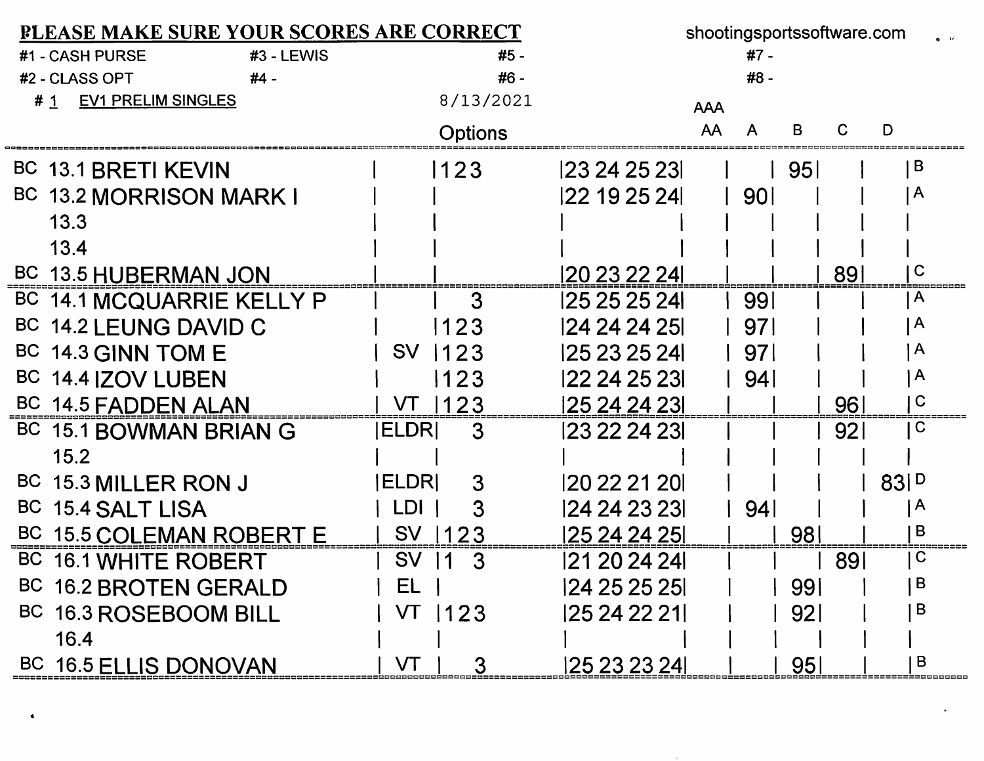| <b>PLEASE MAKE SURE YOUR SCORES ARE CORRECT</b> |                                | shootingsportssoftware.com |            |                 |              |
|-------------------------------------------------|--------------------------------|----------------------------|------------|-----------------|--------------|
| #1 - CASH PURSE<br>#3 - LEWIS                   | #5 -                           |                            | #7 -       |                 |              |
| #2 - CLASS OPT<br>$#4 -$                        | #6 -                           |                            | #8 -       |                 |              |
| <b>EV1 PRELIM SINGLES</b><br># 1                | 8/13/2021                      |                            | <b>AAA</b> |                 |              |
|                                                 | <b>Options</b>                 |                            | AA<br>A    | в<br>С          | D            |
| BC 13.1 BRETI KEVIN                             | 1123                           | 23242523                   |            | <b>951</b>      | B            |
| BC 13.2 MORRISON MARK I                         |                                | 122 19 25 24               | l 901      |                 | $\mathsf{A}$ |
| 13.3                                            |                                |                            |            |                 |              |
| 13.4                                            |                                |                            |            |                 |              |
| BC 13.5 HUBERMAN JON                            |                                | 20 23 22 24                |            | 891             | l C          |
| BC 14.1 MCQUARRIE KELLY P                       | 3                              | 25 25 25 24                | 991        |                 | A            |
| BC 14.2 LEUNG DAVID C                           | 1123                           | 124 24 24 251              | 971        |                 | A            |
| BC 14.3 GINN TOM E                              | <b>SV</b><br>1123              | 125 23 25 241              | 971        |                 | ١A           |
| BC 14.4 IZOV LUBEN                              | 1123                           | 122 24 25 231              | 94         |                 | ١A           |
| BC 14.5 FADDEN ALAN                             | VT 1123                        | 125 24 24 231              |            | 96              | $\mathbf C$  |
| BC 15.1 BOWMAN BRIAN G                          | <b>IELDRI</b><br>-3            | 123 22 24 231              |            | 92 <sub>1</sub> | C            |
| 15.2                                            |                                |                            |            |                 |              |
| BC 15.3 MILLER RON J                            | <b>IELDRI</b><br>3             | 120 22 21 201              |            |                 | 83P          |
| <b>BC</b><br><b>15.4 SALT LISA</b>              | LDI I<br>3                     | 24 24 23 23                | 94         |                 | $\mathsf{A}$ |
| BC 15.5 COLEMAN ROBERT E                        | SV 1123                        | 125 24 24 251              |            | 981             | B            |
| BC 16.1 WHITE ROBERT                            | SV 11<br>3                     | 121 20 24 24               |            | 891             | C            |
| BC 16.2 BROTEN GERALD                           | $\mathbf{r}$ $\mathbf{r}$<br>ᄔ | 124 25 25 251              |            | 991             | B            |
| BC 16.3 ROSEBOOM BILL                           | VT 1123                        | 125 24 22 211              |            | 92 <sub>l</sub> | B            |
| 16.4                                            |                                |                            |            |                 |              |
| BC 16.5 ELLIS DONOVAN                           | VT<br>3                        | 125 23 23 241              |            | 95 <sub>l</sub> | B            |